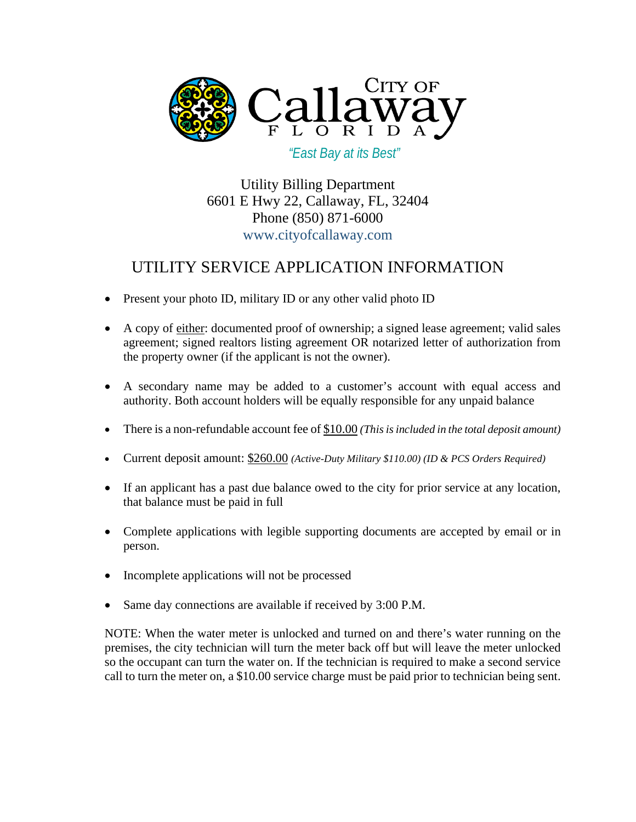

 *"East Bay at its Best"*

Utility Billing Department 6601 E Hwy 22, Callaway, FL, 32404 Phone (850) 871-6000 www.cityofcallaway.com

# UTILITY SERVICE APPLICATION INFORMATION

- Present your photo ID, military ID or any other valid photo ID
- A copy of either: documented proof of ownership; a signed lease agreement; valid sales agreement; signed realtors listing agreement OR notarized letter of authorization from the property owner (if the applicant is not the owner).
- A secondary name may be added to a customer's account with equal access and authority. Both account holders will be equally responsible for any unpaid balance
- There is a non-refundable account fee of \$10.00 *(This is included in the total deposit amount)*
- Current deposit amount: \$260.00 *(Active-Duty Military \$110.00) (ID & PCS Orders Required)*
- If an applicant has a past due balance owed to the city for prior service at any location, that balance must be paid in full
- Complete applications with legible supporting documents are accepted by email or in person.
- Incomplete applications will not be processed
- Same day connections are available if received by 3:00 P.M.

NOTE: When the water meter is unlocked and turned on and there's water running on the premises, the city technician will turn the meter back off but will leave the meter unlocked so the occupant can turn the water on. If the technician is required to make a second service call to turn the meter on, a \$10.00 service charge must be paid prior to technician being sent.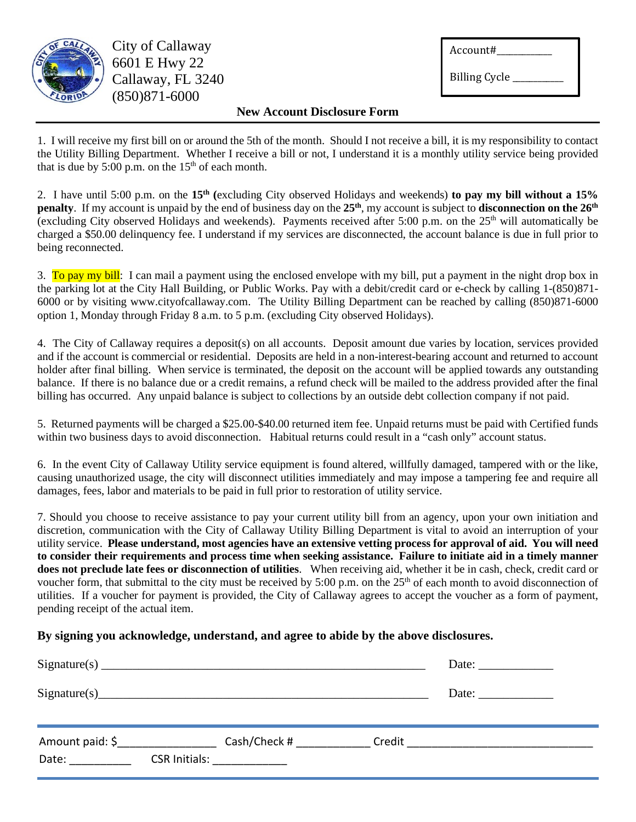

City of Callaway 6601 E Hwy 22 Callaway, FL 3240 (850)871-6000

| Account#             |  |
|----------------------|--|
| <b>Billing Cycle</b> |  |

### **New Account Disclosure Form**

1. I will receive my first bill on or around the 5th of the month. Should I not receive a bill, it is my responsibility to contact the Utility Billing Department. Whether I receive a bill or not, I understand it is a monthly utility service being provided that is due by  $5:00$  p.m. on the  $15<sup>th</sup>$  of each month.

2. I have until 5:00 p.m. on the **15th (**excluding City observed Holidays and weekends) **to pay my bill without a 15% penalty**. If my account is unpaid by the end of business day on the 25<sup>th</sup>, my account is subject to **disconnection on the 26<sup>th</sup>** (excluding City observed Holidays and weekends). Payments received after 5:00 p.m. on the  $25<sup>th</sup>$  will automatically be charged a \$50.00 delinquency fee. I understand if my services are disconnected, the account balance is due in full prior to being reconnected.

3. To pay my bill: I can mail a payment using the enclosed envelope with my bill, put a payment in the night drop box in the parking lot at the City Hall Building, or Public Works. Pay with a debit/credit card or e-check by calling 1-(850)871- 6000 or by visiting www.cityofcallaway.com. The Utility Billing Department can be reached by calling (850)871-6000 option 1, Monday through Friday 8 a.m. to 5 p.m. (excluding City observed Holidays).

4. The City of Callaway requires a deposit(s) on all accounts. Deposit amount due varies by location, services provided and if the account is commercial or residential. Deposits are held in a non-interest-bearing account and returned to account holder after final billing. When service is terminated, the deposit on the account will be applied towards any outstanding balance. If there is no balance due or a credit remains, a refund check will be mailed to the address provided after the final billing has occurred. Any unpaid balance is subject to collections by an outside debt collection company if not paid.

5. Returned payments will be charged a \$25.00-\$40.00 returned item fee. Unpaid returns must be paid with Certified funds within two business days to avoid disconnection. Habitual returns could result in a "cash only" account status.

6. In the event City of Callaway Utility service equipment is found altered, willfully damaged, tampered with or the like, causing unauthorized usage, the city will disconnect utilities immediately and may impose a tampering fee and require all damages, fees, labor and materials to be paid in full prior to restoration of utility service.

7. Should you choose to receive assistance to pay your current utility bill from an agency, upon your own initiation and discretion, communication with the City of Callaway Utility Billing Department is vital to avoid an interruption of your utility service. **Please understand, most agencies have an extensive vetting process for approval of aid. You will need to consider their requirements and process time when seeking assistance. Failure to initiate aid in a timely manner does not preclude late fees or disconnection of utilities**. When receiving aid, whether it be in cash, check, credit card or voucher form, that submittal to the city must be received by 5:00 p.m. on the 25<sup>th</sup> of each month to avoid disconnection of utilities. If a voucher for payment is provided, the City of Callaway agrees to accept the voucher as a form of payment, pending receipt of the actual item.

### **By signing you acknowledge, understand, and agree to abide by the above disclosures.**

|       |                            | Sigma(s) | Date: $\frac{1}{\sqrt{1-\frac{1}{2}}\sqrt{1-\frac{1}{2}}\sqrt{1-\frac{1}{2}}\sqrt{1-\frac{1}{2}}\sqrt{1-\frac{1}{2}}\sqrt{1-\frac{1}{2}}\sqrt{1-\frac{1}{2}}\sqrt{1-\frac{1}{2}}\sqrt{1-\frac{1}{2}}\sqrt{1-\frac{1}{2}}\sqrt{1-\frac{1}{2}}\sqrt{1-\frac{1}{2}}\sqrt{1-\frac{1}{2}}\sqrt{1-\frac{1}{2}}\sqrt{1-\frac{1}{2}}\sqrt{1-\frac{1}{2}}\sqrt{1-\frac{1}{2}}\sqrt{1-\frac{1}{2}}\sqrt{1-\frac{1}{2}}$ |
|-------|----------------------------|----------|---------------------------------------------------------------------------------------------------------------------------------------------------------------------------------------------------------------------------------------------------------------------------------------------------------------------------------------------------------------------------------------------------------------|
|       |                            | Sigma(s) | Date: $\frac{1}{\sqrt{1-\frac{1}{2}} \cdot \frac{1}{2}}$                                                                                                                                                                                                                                                                                                                                                      |
| Date: | CSR Initials: ____________ |          |                                                                                                                                                                                                                                                                                                                                                                                                               |